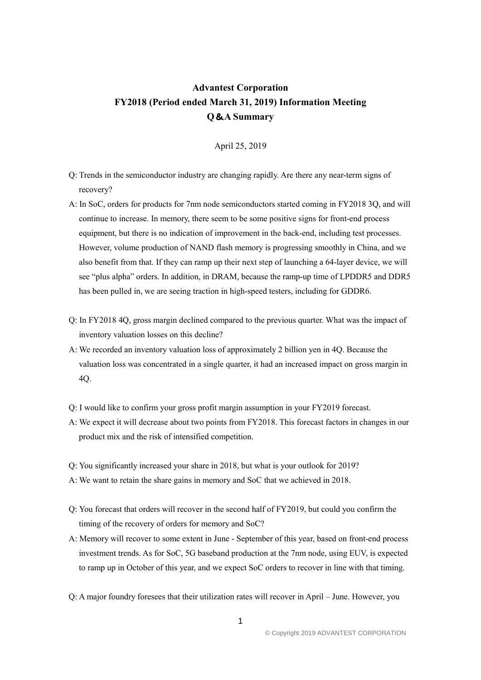## **Advantest Corporation FY2018 (Period ended March 31, 2019) Information Meeting Q**&**A Summary**

April 25, 2019

- Q: Trends in the semiconductor industry are changing rapidly. Are there any near-term signs of recovery?
- A: In SoC, orders for products for 7nm node semiconductors started coming in FY2018 3Q, and will continue to increase. In memory, there seem to be some positive signs for front-end process equipment, but there is no indication of improvement in the back-end, including test processes. However, volume production of NAND flash memory is progressing smoothly in China, and we also benefit from that. If they can ramp up their next step of launching a 64-layer device, we will see "plus alpha" orders. In addition, in DRAM, because the ramp-up time of LPDDR5 and DDR5 has been pulled in, we are seeing traction in high-speed testers, including for GDDR6.
- Q: In FY2018 4Q, gross margin declined compared to the previous quarter. What was the impact of inventory valuation losses on this decline?
- A: We recorded an inventory valuation loss of approximately 2 billion yen in 4Q. Because the valuation loss was concentrated in a single quarter, it had an increased impact on gross margin in 4Q.
- Q: I would like to confirm your gross profit margin assumption in your FY2019 forecast.
- A: We expect it will decrease about two points from FY2018. This forecast factors in changes in our product mix and the risk of intensified competition.
- Q: You significantly increased your share in 2018, but what is your outlook for 2019?
- A: We want to retain the share gains in memory and SoC that we achieved in 2018.
- Q: You forecast that orders will recover in the second half of FY2019, but could you confirm the timing of the recovery of orders for memory and SoC?
- A: Memory will recover to some extent in June September of this year, based on front-end process investment trends. As for SoC, 5G baseband production at the 7nm node, using EUV, is expected to ramp up in October of this year, and we expect SoC orders to recover in line with that timing.
- Q: A major foundry foresees that their utilization rates will recover in April June. However, you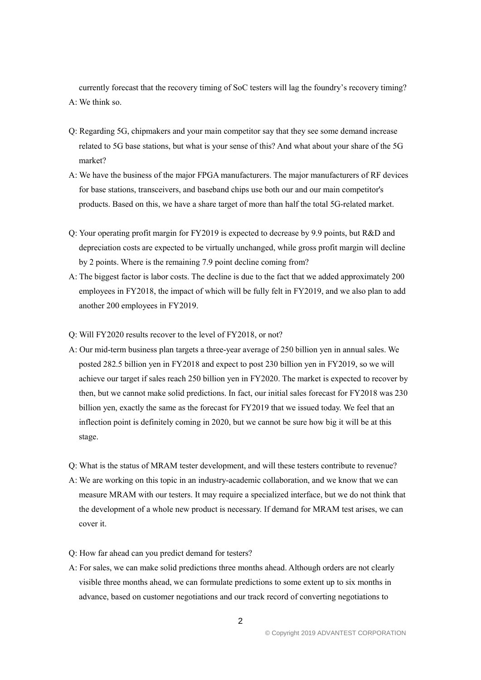currently forecast that the recovery timing of SoC testers will lag the foundry's recovery timing? A: We think so.

- Q: Regarding 5G, chipmakers and your main competitor say that they see some demand increase related to 5G base stations, but what is your sense of this? And what about your share of the 5G market?
- A: We have the business of the major FPGA manufacturers. The major manufacturers of RF devices for base stations, transceivers, and baseband chips use both our and our main competitor's products. Based on this, we have a share target of more than half the total 5G-related market.
- Q: Your operating profit margin for FY2019 is expected to decrease by 9.9 points, but R&D and depreciation costs are expected to be virtually unchanged, while gross profit margin will decline by 2 points. Where is the remaining 7.9 point decline coming from?
- A: The biggest factor is labor costs. The decline is due to the fact that we added approximately 200 employees in FY2018, the impact of which will be fully felt in FY2019, and we also plan to add another 200 employees in FY2019.
- Q: Will FY2020 results recover to the level of FY2018, or not?
- A: Our mid-term business plan targets a three-year average of 250 billion yen in annual sales. We posted 282.5 billion yen in FY2018 and expect to post 230 billion yen in FY2019, so we will achieve our target if sales reach 250 billion yen in FY2020. The market is expected to recover by then, but we cannot make solid predictions. In fact, our initial sales forecast for FY2018 was 230 billion yen, exactly the same as the forecast for FY2019 that we issued today. We feel that an inflection point is definitely coming in 2020, but we cannot be sure how big it will be at this stage.
- Q: What is the status of MRAM tester development, and will these testers contribute to revenue?
- A: We are working on this topic in an industry-academic collaboration, and we know that we can measure MRAM with our testers. It may require a specialized interface, but we do not think that the development of a whole new product is necessary. If demand for MRAM test arises, we can cover it.
- Q: How far ahead can you predict demand for testers?
- A: For sales, we can make solid predictions three months ahead. Although orders are not clearly visible three months ahead, we can formulate predictions to some extent up to six months in advance, based on customer negotiations and our track record of converting negotiations to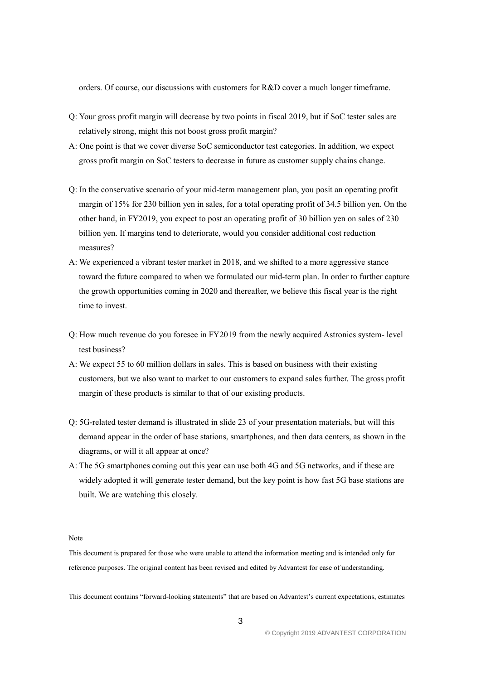orders. Of course, our discussions with customers for R&D cover a much longer timeframe.

- Q: Your gross profit margin will decrease by two points in fiscal 2019, but if SoC tester sales are relatively strong, might this not boost gross profit margin?
- A: One point is that we cover diverse SoC semiconductor test categories. In addition, we expect gross profit margin on SoC testers to decrease in future as customer supply chains change.
- Q: In the conservative scenario of your mid-term management plan, you posit an operating profit margin of 15% for 230 billion yen in sales, for a total operating profit of 34.5 billion yen. On the other hand, in FY2019, you expect to post an operating profit of 30 billion yen on sales of 230 billion yen. If margins tend to deteriorate, would you consider additional cost reduction measures?
- A: We experienced a vibrant tester market in 2018, and we shifted to a more aggressive stance toward the future compared to when we formulated our mid-term plan. In order to further capture the growth opportunities coming in 2020 and thereafter, we believe this fiscal year is the right time to invest.
- Q: How much revenue do you foresee in FY2019 from the newly acquired Astronics system- level test business?
- A: We expect 55 to 60 million dollars in sales. This is based on business with their existing customers, but we also want to market to our customers to expand sales further. The gross profit margin of these products is similar to that of our existing products.
- Q: 5G-related tester demand is illustrated in slide 23 of your presentation materials, but will this demand appear in the order of base stations, smartphones, and then data centers, as shown in the diagrams, or will it all appear at once?
- A: The 5G smartphones coming out this year can use both 4G and 5G networks, and if these are widely adopted it will generate tester demand, but the key point is how fast 5G base stations are built. We are watching this closely.

## Note

This document is prepared for those who were unable to attend the information meeting and is intended only for reference purposes. The original content has been revised and edited by Advantest for ease of understanding.

This document contains "forward-looking statements" that are based on Advantest's current expectations, estimates